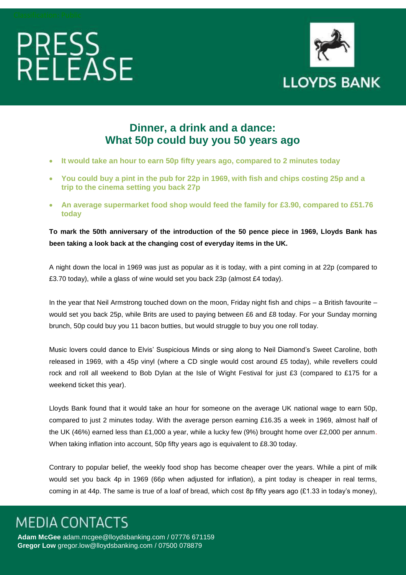# PRESS<br>RFLFASE



### **Dinner, a drink and a dance: What 50p could buy you 50 years ago**

- **It would take an hour to earn 50p fifty years ago, compared to 2 minutes today**
- **You could buy a pint in the pub for 22p in 1969, with fish and chips costing 25p and a trip to the cinema setting you back 27p**
- **An average supermarket food shop would feed the family for £3.90, compared to £51.76 today**

**To mark the 50th anniversary of the introduction of the 50 pence piece in 1969, Lloyds Bank has been taking a look back at the changing cost of everyday items in the UK.**

A night down the local in 1969 was just as popular as it is today, with a pint coming in at 22p (compared to £3.70 today), while a glass of wine would set you back 23p (almost £4 today).

In the year that Neil Armstrong touched down on the moon, Friday night fish and chips – a British favourite – would set you back 25p, while Brits are used to paying between £6 and £8 today. For your Sunday morning brunch, 50p could buy you 11 bacon butties, but would struggle to buy you one roll today.

Music lovers could dance to Elvis' Suspicious Minds or sing along to Neil Diamond's Sweet Caroline, both released in 1969, with a 45p vinyl (where a CD single would cost around £5 today), while revellers could rock and roll all weekend to Bob Dylan at the Isle of Wight Festival for just £3 (compared to £175 for a weekend ticket this year).

Lloyds Bank found that it would take an hour for someone on the average UK national wage to earn 50p, compared to just 2 minutes today. With the average person earning £16.35 a week in 1969, almost half of the UK (46%) earned less than £1,000 a year, while a lucky few (9%) brought home over £2,000 per annum. When taking inflation into account, 50p fifty years ago is equivalent to £8.30 today.

Contrary to popular belief, the weekly food shop has become cheaper over the years. While a pint of milk would set you back 4p in 1969 (66p when adjusted for inflation), a pint today is cheaper in real terms, coming in at 44p. The same is true of a loaf of bread, which cost 8p fifty years ago (£1.33 in today's money),

## **MEDIA CONTACTS**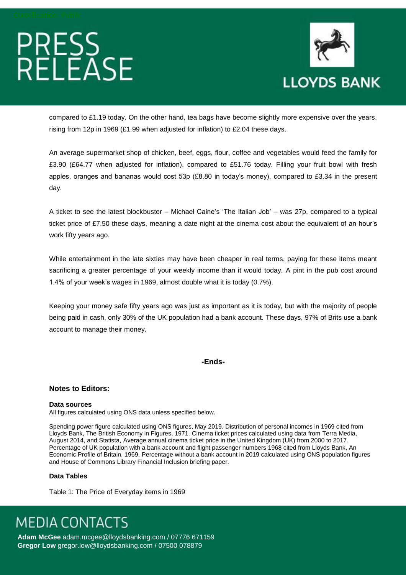# PRESS<br>RELEASE



compared to £1.19 today. On the other hand, tea bags have become slightly more expensive over the years, rising from 12p in 1969 (£1.99 when adjusted for inflation) to £2.04 these days.

An average supermarket shop of chicken, beef, eggs, flour, coffee and vegetables would feed the family for £3.90 (£64.77 when adjusted for inflation), compared to £51.76 today. Filling your fruit bowl with fresh apples, oranges and bananas would cost 53p (£8.80 in today's money), compared to £3.34 in the present day.

A ticket to see the latest blockbuster – Michael Caine's 'The Italian Job' – was 27p, compared to a typical ticket price of £7.50 these days, meaning a date night at the cinema cost about the equivalent of an hour's work fifty years ago.

While entertainment in the late sixties may have been cheaper in real terms, paying for these items meant sacrificing a greater percentage of your weekly income than it would today. A pint in the pub cost around 1.4% of your week's wages in 1969, almost double what it is today (0.7%).

Keeping your money safe fifty years ago was just as important as it is today, but with the majority of people being paid in cash, only 30% of the UK population had a bank account. These days, 97% of Brits use a bank account to manage their money.

### **-Ends-**

### **Notes to Editors:**

### **Data sources**

All figures calculated using ONS data unless specified below.

Spending power figure calculated using ONS figures, May 2019. Distribution of personal incomes in 1969 cited from Lloyds Bank, The British Economy in Figures, 1971. Cinema ticket prices calculated using data from Terra Media, August 2014, and Statista, Average annual cinema ticket price in the United Kingdom (UK) from 2000 to 2017. Percentage of UK population with a bank account and flight passenger numbers 1968 cited from Lloyds Bank, An Economic Profile of Britain, 1969. Percentage without a bank account in 2019 calculated using ONS population figures and House of Commons Library Financial Inclusion briefing paper.

### **Data Tables**

Table 1: The Price of Everyday items in 1969

## **MEDIA CONTACTS**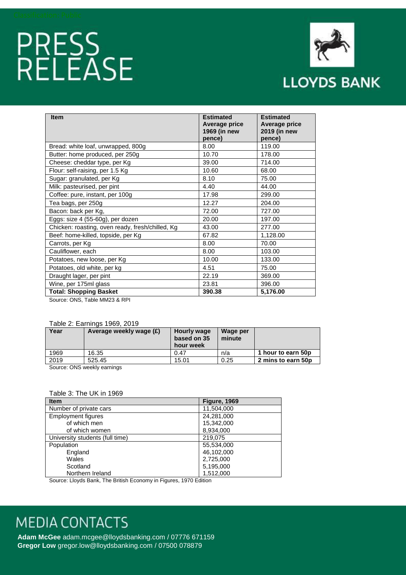# PRESS<br>RELEASE



| <b>Item</b>                                      | <b>Estimated</b><br><b>Average price</b><br>1969 (in new<br>pence) | <b>Estimated</b><br>Average price<br>2019 (in new<br>pence) |
|--------------------------------------------------|--------------------------------------------------------------------|-------------------------------------------------------------|
| Bread: white loaf, unwrapped, 800g               | 8.00                                                               | 119.00                                                      |
| Butter: home produced, per 250g                  | 10.70                                                              | 178.00                                                      |
| Cheese: cheddar type, per Kg                     | 39.00                                                              | 714.00                                                      |
| Flour: self-raising, per 1.5 Kg                  | 10.60                                                              | 68.00                                                       |
| Sugar: granulated, per Kg                        | 8.10                                                               | 75.00                                                       |
| Milk: pasteurised, per pint                      | 4.40                                                               | 44.00                                                       |
| Coffee: pure, instant, per 100g                  | 17.98                                                              | 299.00                                                      |
| Tea bags, per 250g                               | 12.27                                                              | 204.00                                                      |
| Bacon: back per Kg,                              | 72.00                                                              | 727.00                                                      |
| Eggs: size 4 (55-60g), per dozen                 | 20.00                                                              | 197.00                                                      |
| Chicken: roasting, oven ready, fresh/chilled, Kg | 43.00                                                              | 277.00                                                      |
| Beef: home-killed, topside, per Kg               | 67.82                                                              | 1,128.00                                                    |
| Carrots, per Kg                                  | 8.00                                                               | 70.00                                                       |
| Cauliflower, each                                | 8.00                                                               | 103.00                                                      |
| Potatoes, new loose, per Kg                      | 10.00                                                              | 133.00                                                      |
| Potatoes, old white, per kg                      | 4.51                                                               | 75.00                                                       |
| Draught lager, per pint                          | 22.19                                                              | 369.00                                                      |
| Wine, per 175ml glass                            | 23.81                                                              | 396.00                                                      |
| <b>Total: Shopping Basket</b>                    | 390.38                                                             | 5,176.00                                                    |

Source: ONS, Table MM23 & RPI

#### Table 2: Earnings 1969, 2019

| Year                        | Average weekly wage (£) | Hourly wage<br>based on 35<br>hour week | Wage per<br>minute |                    |
|-----------------------------|-------------------------|-----------------------------------------|--------------------|--------------------|
| 1969                        | 16.35                   | 0.47                                    | n/a                | 1 hour to earn 50p |
| 2019                        | 525.45                  | 15.01                                   | 0.25               | 2 mins to earn 50p |
| Course: ONC useful complete |                         |                                         |                    |                    |

Source: ONS weekly earnings

### Table 3: The UK in 1969

| <b>Item</b>                     | <b>Figure, 1969</b> |
|---------------------------------|---------------------|
| Number of private cars          | 11,504,000          |
| <b>Employment figures</b>       | 24,281,000          |
| of which men                    | 15,342,000          |
| of which women                  | 8,934,000           |
| University students (full time) | 219,075             |
| Population                      | 55,534,000          |
| England                         | 46,102,000          |
| Wales                           | 2,725,000           |
| Scotland                        | 5,195,000           |
| Northern Ireland                | 1,512,000           |

Source: Lloyds Bank, The British Economy in Figures, 1970 Edition

## **MEDIA CONTACTS**